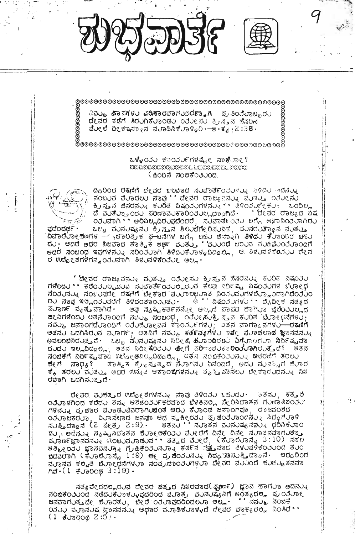



**OOOOSK** 

෧෯෨෧෨෧෬෧෬෧෮෧෧෧෧෧෧෧෧෧෧෧෧෧෧෧෧෧෧෧෧෧෧෧෧෧෧෧෧ඁ෯

ನಿ**ನರ್ತ್ರ ಹಾಪಗಳರ ಪರಿಸಾರ**ವಾಗರವ**ರಕ್ಕಾ**ಗಿ - ಪ್ರತಿಂತೆರಾಬ್ಬರರ ದೇವರ ಕಡೆಗೆ ತಿರುಗಿಕೆಲಾಂಡು ಂರೆಲೕಸು ಕ್ರಸ್ತನ ಕೆಸರಿನ  $J_{\mathcal{A}}$ ಲಿ ದೀಕ್ಷಾಸ್ನಾನ ಮೂಡಿಸಿಕೆಲಾಳ್ಳಿ $0$  - ಆ  $J_{\mathcal{A}}$  : 38  $\cdot$ 

**്ശ**ാരേമാരേമാരേമാരെമാരെമാരെമാരെമാരെമാരിക്കാര മാരക്കാരി

ಒಳ್ಳೆಂರು ಕುಂರುಲಗಳಷ್ಟೇ ಸಾಕಿಂಗಾಲಿ (ಹಿಂದಿನ ಸಂಚಿಕೆಂತುಂದ



ವುದೆಂದರ್ಥ •

ದ್ಧರಿಂದ ರಕ್ಕಣಿಗೆ ದೇವರ ಬಲವಾದ ಸುವಾರ್ತೆಂತುನ್ನು ತಿಳಿದು ಅದನ್ನು ಿದ್ದಾರಂದ ಅಧಾಗ ದಿರದಲ್ಲಿ ದಿಂದಂದ ಗಂದಾಂದ ಅಲ್ಲರನ್ನು ಅಂದಲ್ಲಿ ಇದರಲ್ಲಿ<br>ಪಂಬರಿವ ಮೊದಲು ನಾವು '್ ದೇವರ ರಾಜ್ಯಪನ್ನು ಪರಿತರ್ತ್ತಿ ಇರೆರೀಸರಿ ಕ್ರಿಸ್ತನ ಹೆಸರನ್ನು ಕರಿರಿತ ವಿಷಂತರಗಳನ್ನು \*\* ತಿಳಿಂತರ್ರೀಕು - ಒಂದಿಲ್ಲ ದೆ ವುತ್ತೊಂದು ಪರಿಣಾವುಕಾರಿಂತುಲ್ಲದ್ದಾಗಿದೆ. ''ದೇವರ ರಾಜ್ಯದ ನಿಷ ೦ರ∪ವಾಗಿ " ಅರಿವಿಲ್ಲದಿರ∪ಪುದೆಂದರೆ. ಸುವಾರ್ತೆಂನು ಬಗ್ಗೆ ಅಜಾನಿಯರಾಗಿರು ಒಬ್ಬ ವುನುಷ್ಯನು ಕ್ರಿಸ್ತನ ಶಿಲುಬೆಗೇರಿಸುವಿಕೆ, ಪುನರುತ್ತಾಂನ ವುತ್ತು

ದಿವಾರೆುಾ೯್ಯಗಳ – ನಿಚಾರಿತ್ರಿಕ <del>ಫ ಟ</del>ನೆಗಳ ಬಗ್ಗೆ ಬಹು ಚನ್ನಾಗಿ **ತಿಳಿದ**ು ಕಿುಾಂಡಿರ ಚಕು du; Gad Gad Badad dog & Gad, and was word would available and ಅದರೆ ಸಂಬಂಧ ಇವುಗಳನ್ನು ಸರಿಂತರಾಗಿ ತಿಳಿದುಕೆರಾಳ್ಳದಿದ್ದಲ್ಲಿ, ಆ ತಿಳುವಳಿಕೆαತ್ತು ದೇವ ರ ಉದ್ದೇಶಗಳಿಗನ್ವಂತುವಾಗಿ ತಿಳುವಳಿಕೆಂತುಲ ಅಲ್ಲ.

' ಡೀವರ ರಾಜ್ಯವನ್ನು ವುತ್ತು ಂತೆರೀಸು ಕ್ರಿಸ್ತನ ಸೆಸರನ್ನು ಕರರಿಾ ವಿಷಂತರ ಗಳೆಂದು \*\* ಕರೆಂನುಲ್ಟಡುವ ಸುವಾರ್ತೆಂನುಲ್ಲರುವ ಕೆಲವ ನಿರ್ದಿಷ್ಟ ವಿಷಂತುಗಳ ಚಿಳಾಲ್ಗಳ ನೆಂರುನುನು ನಂಬುವುದೇ ರಕ್ಷಣಿಗೆ ಬೇಕಾದ ವುಖಾಲಭುಾತ ನಿಂತುವುಗಳಲ್ಲೊಂದಾಗಿದೆಂರುಂ ದು ನಾವು ಇಲ್ಲಿಯುವರೆಗೆ ತಿಳಿದಂತಾಂಯಿತು. ಅ್ ಬಿಷಂತುಗಳು \* ಬೈವೀಕ ಸತ್ಯದ ವುರಾರ್ಣ ವ್ಯತ್ತವಾಗಿದೆ∙ ಅವು ನೃಷ್ಟಿಕರ್ತನನ್ನೇ ಅಲ್ಲದೆ ಪಾಪದ ಹಾಗುರಾ **ಬೆಲೆಂು**ಲಲ್ಲದ com would want to be to be comed to be and the change of ನವರ್ತು ಜನಾಂಗದೆರಾಂದಿಗೆ ಂತರ್ಿಸರಾಲವನ ಕೊಂತರ್ಪಗಳರ್ು ಆತನ ವಾಗ್ಯಾನಗಳ<del>ರ್ ರ</del>ಹಣಿಗೆ ಅತನು ಒದಗಿಸಿರುವ ವರಾರ್ಗ್: ಆತನಿಗೆ ನವುು ಕರ್ತವು ಗಳು ಇಷೇ ವೆರಾಧಲಾದ ಜ್ಞಾನವನ್ನು ಅವ**ಲಂಬಿ**ನಿರುತ್ತವೆ · ಒಬ್ಬ ಷೆುನುಷ್ಯನು ನಿರೀ್ಷ ಹೆುಾಂದಿರಲು ವಿಗೆರಾಂದರಾ ನಿರ್ದಿಷ್ಟವಾ ಕೈ, ತರಲು ವುತ್ತು, ಅದರ ಉನ್ನತ ಅಕಾಂಕೆಗಳನ್ನು ತೃತ್ತಿದ್ದಿಸಲು ಬೇಕಾದುದನ್ನು ನಿಖ ರವಾಗಿ ಒದಗಿಸುತ್ತದೆ.

ದೇವರ ವುಗತ್ತರ ಊೋರಿಗಳನ್ನು ನಾವು ತಿಳಿಂತು ಒಹುದು. ಅತನು, ಕತ್ತರಿ ಿಲಿಲಾಳಗಿ೦ದ ಕರೆದಲ ತನ್ನು ಆಶಜೆ೦೨೦೯ಕರವಾದ ಬೆಳಕಿನಲ್ಲಿ ನೇರಿಸಿದಾತನ ಗರಣಾತಿಶ೦೨೦ ಗಳನ್ನು ಪ್ರಚಾರ ವರಾಡುವವರಾಗುದಂತೆ ಆದು ಕೆರಾಂಡ ಜನಾಂಗವಾ, ರಾಜವಂಶದ ೦ರರಾಜಕರರಾ , ವಿರಾಸಲಾದ ಜನವಾ ಆದ ಸ್ಥಕೀ೦ರರ ಪ್ರಜಿ೦ರರಾ೦ದನ್ನು ಸಿದ್ಧಗೆರಾಳಿ<br>ಸರಿತ್ತಿದ್ದಾನೆ (2 ಪೇತ್ರ 2:9) - ಆತನರ ' ನರಾತನ ವರನರಷ್ಯನನ್ನು ಧರಿಸಿಕೆರಾ೦ ಡು, ಅಂನುತ್ತ ಸೃಷ್ಟಿಸಿದಾತನ ಹೆಲಾಲಂಕೆಂತು ವೆಲಲರೆಗೆ ದಿನೇ ದಿನೇ ನಲಾತನವಾಗುತ್ತಾ ಬಿದವರಾಗಿ (ಕುರಾಲುರಾಸ್ಟೆ 1:9) ಈ ಪ್ರಜಿಂತುನ್ನು ಸಿದ್ಧವೂಸುತ್ತಿದ್ದಾನೆ. ಆದ್ದರಿಂದ dudda ಕಲ್ಪತ ಬೆರಾಲರೆನೆಗಳು ಸಂಪ್ರದಾಂತುಗಳು ದೇವರ ವರುಂದೆ ಹುಚ್ಚುತನವಾ<br>ಗಿವೆ (1 ಕೆರಾರಿಂಥ 3:19)

ಸತ್ಯವೇದದಲ್ಲಿರುವ ದೇವರ ಚಿತ್ತದ ನಿಖರವಾದ(ಘೂರ್ಣ) ಜ್ಞಾನ ಕಾಗುಾ ಅದನುನ ನಂಬಿಕೆಂುುಂದ ನಡೆದುಕೆುಾಳುಳವುದರಿಂದ ವುಾತ್ರ ವುನುಷ್ಯೆನಿಗೆ ಅಂತ್ಯದರ್, ಪ್ರಯೋ adanus de durado, ded odurado deus eu ... " dau dorre ುುು ಮರಾನುಷ ಜ್ಞಾನವನ್ನು ಅಥಾರ ಮರಾಡಿಕೆರಾಳ√ದೆ ದೇವರ ವಾಕ್ಯದಲ್ಲಿ ನಿಂತಿದೆ.`  $(1 + 300002:5)$ .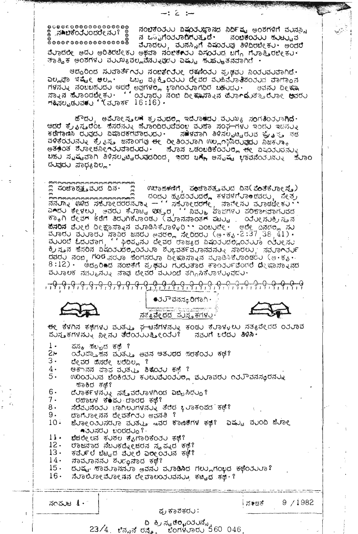$@{\cup} @{\cup} @{\cup} @{\cup} @{\cup} @{\cup} @{\cup} @{\cup} @{\cup} @{\cup}$ ನಂಬಿಕೆಂತರು ವಿಷಯಿಜ್ಞಾನದ ನಿರ್ದಿಷ್ಟ ಅಂಶಗಳಿಗೆ ವರನಸ್ಸಿ ‱್ಸಾ≫ಚಿಕೆಂථ∪ಂದರೇನು? ⊗ ನ ಒಎವಿಗೆಂತರಾದಿಗುತ್ತದೆ. ನಂಬಿಕೆಂತು ಹುಟ್ಟುವ  $\overset{\circ}{\circ}$ ವೆಲಾದಲಲ, ವುನಸ್ಸಿಗೆ ವಿಷಂತುವು ತಿಳಿದಿರಬೇಕು . ಅಂದರೆ ವೆಲಾದಲೇ ಅದಲ ಅರಿತಿರಬೇಕಲ ಅಥವಾ ನಂಬಿಕೆಯಲ ವಿಸಂರಲದ ಬಗ್ಗೆ ಗೆಲಾತ್ತಿರಬೇಕಲ ಿಕಾತ್ವಿಕ ಅಂಶಗಳು ವುಯಾ<sub>ಕಿ</sub>ವಲ್ಲವೆನ್ನುವುದು ಎಷ್ಟು ಹುಚ್ಚುತನವಾಗಿದೆ *.* 

 $-: 2 : -$ 

ಆದ್ದರಿಂದ ಸುಮಾರ್ತೆ∩ರು ನಂಬಕೆಂರು€ ರಕಣಿಂರು ಪ್ರಥವು ನಿಯುವುವಾಗಿದೆ.• ಎಲ್ಲಘಾ ಇಷ್ಟೇ ಅಲ್ಲ∙ - ಒಬ್ಬ ವ್ಯಕ್ತಿಂರು∪ ದೇವರ ವುಹಿನು/ಾತಿಶಂತುದ ವಾಗಾ⊙ನ nguy young and egular topod world world. ಗ**ಷಿಸಲ್ಪಡುವರು '್**(ವರಾರ್ಕ 16:16) -

ಹೌದಲ, ಅವೆಲಾ€ಸ∍ಲ≅ ಕ್ರಮುದರಿಲ ಇದೆಲಾಕದಲ ವರುಖ್ಯ ಸಂಗತಿಂತಲಾಗಿದೆ. ಆದರೆ ಕ್ರೈನ್ಯಕ್ಷರೆಂಒ ಹೆಸರನ್ನು ಹೆರಾಂದಿರುವವೆಂಬ ವುಹಾ ಸಂಘ-ಗಳು ಇಂದು ಇದನ್ನು ธิติกอสล์ บังสูตบ อิสอสธ์ต่ออดบอบ สตรสอก 38สย์ แมนซ์ ซึ่ง จะ จิต ವಳಿಕೆಂರುವುತು. ಕೈ ವಸ್ತು ಜನಾಂಗವು ಈ ರೀತಿಂತರಾಗಿ ಉಲ್ಲಂಭಿಸಿರುವುದು ನಿಜಕರಾ<sub>ಕ</sub> **๚฿฿๐๕ ซึมอ๊ยส์ล๊ยคับสอสมสม · สมอส พสอยติซื้อวมอส ซีย** อินอวับสสับจ ಬಹರ ಸ್ಪಷ್ಟವಾಗಿ ತಿಳಿನಲ್ಪಟ್ಟಿರುವುದರಿಂದ, ಇದರ ಬಗ್ಗೆ ಅನ್ಪಷ್ಟ ಭಾವನೆಂತರನ್ನು ಹೆರಾಂ ದುವುದು ಸಾಧ್ಯವಿಲ್ಲ.

<u>ოოოოოოოოოოოოოოოოოოო</u> 333 ದ ಪಂಚಾಶ<u>ತ್</u>ತವೆಂದ ದಿನ. ಉದಾಹಣೆಗೆ, ಪಂಚಾಶತ್ತವುದ ದಿನ(ಪೆಂತೆಕೋಲ್ಟ್) ಕೆಸರಿನ ವೆಲ್ಲಲೆ ದೀಕ್ಷಾಸ್ನಾನ ವರಾಡಿಸಿಕೆರಾಳ್ಳಿರಿ • ಎಂಬರ್ಟೇ ಅದೇ ಹಿನದಲ್ಲಿ ಸರಿ<br>ವರಾರರ ವರರಾರರ ಸ್ವಾಪಿರ ಜನರರ ಅವರಲ್ಲಿ ಸೇರಿದರರ (ಅ•ಕೃ.2:37,38,41). ้<br>สมบอน ಓದರವಾಗ, '' ಫಿಲಪೈನರ ದೇವರ ರಾಜ್ಯದ ವಿಷಂತರದಲ್ಲಿಂತಯಾ ೧೨೦೯ಸರ<br>ಕ್ರಿಸ್ತುನ ಹೆಸರಿನ ವಿಷಂತರದಲ್ಲಿಂತರುತ್ತಾ ಶರ್ಭವರ್ತಮರಾನವನ್ನು ಸಾರಉ, ಸ್ವರಾಂತರ್ರ dado don not don condo de antiqua de antique de se este  $8:12$ ) ·  $6$ ರೂರಿದ ನಂಬಿಕೆಗೆ ಪ್ರಥವು ಗುರುತಾದ ಕಾಂರ್ನವಂಗರ ದೇಹಾಸ್ನಾನದ ವರರಾಲಕ ನನ್ಮುನರ್ನ ನಾವು ದೇವರ ವರರಾರ ತಗ್ಗಿಸಿಕೆರಾಳರಾಷ್ಟರ್

●JJೌವನಸ⊕ರಿಗಾಗಿ· <u>ಸತ್ಯವೇದದ ಪುಸ್ತಕಗಳು</u>

<del>ರ</del>ೇ ಕೆಳಗಿನ ಕಥೆಗಳು ವುತ್ತು, <del>ಫ ಟ</del>ನೆಗಳನ್ನು ಕಂಡು ಕೆರಾಳ್ಳಲು ಸತ್ಯವೇದದ ರಿತರಾವ<br>ಪುಸ್ತಕಗಳನ್ನು ನೀನು ತೆರೆಯರುತ್ತೀರಿತು? - ನವುಗೆ ಬರೆದು **ತಿಳಿಸಿ** 

- $1 -$ ಪನ್ಕ ಹಬ್ಬದ ಕಥೆ ?
- $2r$ ಯರ್ಯಾತಿ ಸನ್ನ ಮುತ್ತು. ಅವನ ಅತರಿರದ ಹರಕೆಂದರ ಕಥೆ?
- $\overline{3}$ .
- ದೇವರ ಹೆಸರೇ ಬರೆದಿಲ್ಲ ?<br>ಆಕಾನನ ಪಾಪ ವುತ್ತವ ಶಿ**ತ್**ಂತು ಕಥೆ ? 4.
- $5 \cdot$ ೲರಿಂತರಿಂದ ಬೆಂಕಿದರು ಕರಲುವೆರಂತರಲ್ಲ ಮರಾವರು ೧ತರೌವನಸ್ಥರನರು ಾಂಕಿದ ಕಥೆ?
- $6 -$ ದೆಲಾರ್ಕಳನ್ನು ಸತ್ತೆವರೆಲಾಳಗಿಂದ ವಿಬ್ಬಿಸಿದ್ದು?
- 7. ರಹಾಬಳ ಕೆ♦ಮು ದಾರದ ಕಥೆ?
- $8.5$ ಸೆರೆವರಿನೆಂದರು. ಬಾಗಿಲುಗಳನ್ನು ತೆರೆದ ಭರಾಕಂಪದ ಕಥೆ?
- 9. ದಾಗಲಾಲನನ ದೇವತೆಂದು ಅವನತಿ ?
- $10 -$ ಜೆರಾೕ ೦೨೦ನರರಾ ಮುತ್ತು. ಇವರ ಕಾಣಿಕೆಗಳ ಕಥೆ? ಎಷ್ಟು ವು೦ದಿ ಜೆರಾ೯  $\bullet$ 00200  $\bullet$ 0000000
- $11.$ ಪೆಚಲೀಲನ ಕ∪ಶಲ ಕಿೃುಗಾರಿಕಿಂರು∪ ಕಥೆ?
- $12 -$ ರಾಜನಾದ ನೆಬ೦ಕದೆನ್ನೂ ಚರನ ಸ್ವಪನದ ಕಥೆ?
- $13 -$ ಕಮಿಂಕಲಿ ಭಃಟ್ಟದ ಮಲೕಲಿ ಎಲೇ ೧ನಲಾ ಕೂ]ಿ?
- $14.$ ನಾವುರಾನನು ಶುದ್ಧನಾದ ಕಥೆ?

 $23/4$ 

- $15.$
- 16. ಸೆಲಾಲಿಲಾಲಮೋಡನ ದೇವಾಲಯವನ್ನು ಕಟ್ಟಿದ ಕಥೆ-?

| ಸ೧ಪುಟ |
|-------|
|-------|

ಪ್ರ ಕಾಶಕರು:

- ದಿ ಕ್ರಿಸ್ಟಡ**್ಳ**ುವರನ್ನೆ<br>ಬೆನ್ನನ್ ರಸ್ತ್ರೈ - ಬೆಂಗಳರಾರು 560-046

!ನ≉ಙಕ

 $9/1982$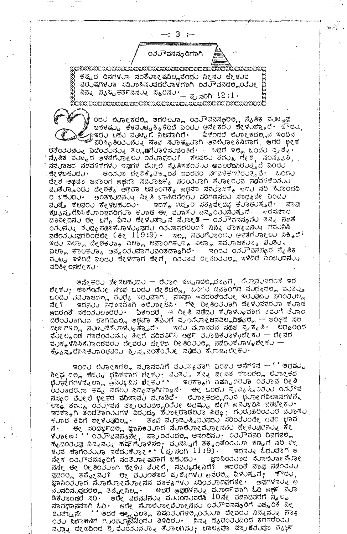$-:3:-$ 

**೦**ರಲೌವನಸ¢ರಿಗಾಗಿ

<u>ා සහන්සා සහභාගීතය සහභාගීතය සහභාගීතය සහභාගීතය සහභාගීතය සහභාගීතය සහභාගීතය සහභාගීතය සහභාගීතය සහභාගීතය සහභාගීතය ස</u> ಕಷ್ಟದ ದಿನಗಳುಾ ಸಂತೆುಾಲಕೂಲ್ಲವೆಂದು ನೀನು ಹೇಳುವ ವರುಷಗಳುಾ ಸವಿುಾಹಿಸುವದರೆುಾಳಗಾಗಿ ೦ತುಾ ವನದರಿಹಯೋ ವಿನ್ನ ಸ್ಕಷ್ಟಿಕರ್ತನನ್ನು ಸ್ಮರಿಸು.\_\_ ಪ್ರಸಂಗಿ 12:1. .<br>සිකසාහන්සා සහ සිකසා සහ සිකසා සිකසා සිකසා සිකසා සිකසා සිකසා සිකසා සිකසා සි

೦ದ∪ ಲೋಕದಲ್ಲಿ ಅದರಲ್ಲೂ ೦ತ್ತು ವನಸಂರಲ್ಲಿ ನೈತಿಕ ವುಟ್ವಪ ಬಹಳಷ್ಟು ಕೆಳವುಟ್ಟಕ್ಕಿಳಿದಿದೆ ಎಂದು ಅನೇಕರು ಹೇಳುತ್ತಾರೆ. ಕೌದು ಇಾದು ಬಹು⊍ ವುಚ್ಚಿಗೆ ನಿಜುವಾಗಿದೆ∙ ′ ඛ≎ರದಲೆ ಲಿುಾ€ಕದಲ್ಲಿನ ಇಂದಿನ ಿವರಿಸ್ಥಿತಿಯುನ್ನು ನಾಫ್ ಸುರಾಕ್ಮುಪಾಗಿ ಅವಲೆುರಾಲಕಿಸಿದಾಗ, ಅವರ ಭೀಕ ರತೆಂತುನಟ<sub>್ನ</sub> ವಿದೆಂತುತ್ತಾತ್ರ ತಲ್ಲ**ಜ**ಗುರಾಳಿಸುವಂತಿಣೆ• ... ಆದರೆ ಇಲ್ಲಿ ಒಂದು ಪ್ರಶ್ನೆ• ನೈತಿಕ ವರಟ್ಟದ ಅಳತೆಗೆರಾ೯ಲರ ಂತರಾವುದರ್ಃ ಕೆಲವರರ ತಮರ್ಕ್ರ ಸೇಶ, ಸಂಸ್ಕೃತಿ, ಸ ಸ**ವುಾ**ಜದ ನಡವಳಿಕೆಗಳು ಇವುಗಳ ವೆುಲಲಿ ನೈತಿಕತೆಂತುು ಅವಲಂದಿಸಿರುತ್ತದೆ ಎಂದು ಶೇ.೪ಬಹ∪ದ∪∙ - ಆಯ∪ಾ ದೇಶಕೈತಕ್ಕಂತೆ ಅವರವರ ನಗವಳಿಕೆಗಳಿರ∪ತ್ತವೆ∙ - ಒಂಗ∪ ದೇಶ ಅಥವಾ ಜನಾಂಗ ಅಥವಾ ಸಮರಾಜ್ಕೆ ಸರಿಯರಾಗಿ ತೆರಾಲರುವ ನ**ೂ**ವಳಿಕೆಯರು ಮುತೆು್ತಾಂದು ದೇಶಕ್ಕೆ ಅಥವಾ ಜನಾಂಗಕ್ಕೆ ಅಥವಾ ಸವುಾಜಕ್ಕೆ ಅಗು ಸರಿ ಗೊಂದದಿ ರ ಬಹುದು. ಅಂತಹುದನ್ನು ನೀತಿ ಬಾಹಿರವೆಂದು ಪರಿಗಣನಲು ಸಾಧ್ಯವೇ ಎಂದು ವುತ್ತ ಕೆಲವರು ಕೀಳಬಹುದು∙ ಇದಕ್ಕೆ ಊ್ತರ ಸತ್ಯವೇದಫ ಕಿಲಾಡುತ್ತದೆ∙ ನಾನ ಕೆ ${\boldsymbol \mu}_{{\boldsymbol \delta}}$ ಸ್ನವಿಕೆ ರಾಂಡವರಿಗರಾ ಕರಾಡ ಈ ಮರಾತರ ಅನ್ನಂತರಿಸರುತ್ತದೆ . ಇರಸನಾದ  $\sigma$ ออ๊ยสสบ อยู่ พที่ก อิสบ ซีย์รับฮอ ส์ สับอยุติ – od วิธสสตุสบ ฮสง สัตร์  $O_1$ ാಸ್ಟು ಶುದ್ಧ ಪಡಿಸಿಕೆ ರಾಳ್ಳುವುದು os ರಾವುದರಿಂದ ? ನಿನ್ನು ವಾಕ $_{i}$ ವನ್ನು ಗವುನಿಸಿ ನಡೆಯುರುವುದರಿಂದಲೇ (ಕೀ 119:9) - ಇಲ್ಲಿ ನವುಗೆರಾಂದು ಅಳತೆಗೆರಾಲಲು ಸಿಕ್ಕಿದೆ : ಇದು ಎಲ್ಲಾ ಬೇಶಕರಾಕಿ ಎಲ್ಲಾ ಜನಾಂಗಕರಾಕಿ ಎಲ್ಲಾ ಸವರಾಜಕರಾಕಿ ಶುತ್ತು ಎಲ್ಲಾ ಕಾಲಕರಾ<sub>ಕಿ</sub> ಅನ್ವಯರವಾಗರವಂತದಾ<sub>ದಿ</sub>ಗಿದೆ. ಇಂದರ ಂತರೌವನಸ್ಥರ ನೈತಿಕ ವುಟ್ಟ ಇಳಿದಿದೆ ಎಂದು ಸೇಳಿದಾಗ ಹೇಗೆ, ೦ತುರಾವ ರೀತಿ೦ತುರಾೄ ಇಳಿದಿದೆ ಎ೦ಬುದನು೩ ವರಿಶೀ ಲಿನಬೇ ಕು.

ಅನೇಕರು ಶೇಳಬಹುದು — ರೆುಾಂ ಪಟ್ಟಣದಲ್ಲಿದ್ದಾಗ, ರೆುಾವುನರಂತೆ ಇರ ಬೇಕು); ಹಾಗೆಂತೆಲೇ ನಾಘ ಒಂದು ದೇಶದಲ್ಲಿ, ಒಂಗು ಜನಾಂಗದ ವುಧ್ಯದಲ್ಲಿ ವುತ್ತು ಒಂದು ಸಮೂಜಗಳು ಮುರೈ ಇರುವಾಗ, ನಾವೂ ಅವರಂತೆಯರೇ ಇರುವುದು ಸರಿಂರುಲ್ಲ ಇದನ್ನು ನಿಧಾನವಾಗಿ ಆಲ್ರಾಂಟಿಸಿ . ೇ ರೀತಿಂತರಾಗಿ ಪೇಳುವವರರಾ ಕರಾಡ ವೇ ? ಅದರಂತೆ ನಡೆಂತರಲಾರರು. "ವಿಕಂದರೆ, ಆ ರೀತಿ ನಡೆದು ಕರಾಳುವಾಗ ತಮಗೆ ತರಾಂ<br>ದರೆಂತರಾಗುವ ಹಾಗಿದ್ದಲ್ಲಿ ಅಥವಾ ತವರಿಗೆ ಪ್ರಂತರಾಂಜನವಿಲ್ಲದಿದ್ದಂತೆ - ಅಂಥಹ ಸಂ ದರ್ಭಗಳಲ್ಲಿ ನುಣುಚಿಕೆುಾಳ್ಳುತ್ತಾರೆ. ಇದು ವುಾನವನ ಸಹಜ ಪ್ರಕ್ಮತಿ. ಅದ್ದರಿಂದ ಘ್ಳಲ್ಲಂಡ ಗಾದೆಂರ∪ನ್ನು ಹೀಗೆ ಪರಿವರ್ತಿಸಿ ಅರ್ಥ ವರಾಡಿಕೆಲಾಳ√ಚೇಕು — ದೇವರ ವುಕ್ಕಳಿನಿಸಿಕೆಲಾಂಡವರು ದೇವರು ಹೇಳಿದ ರೀತಿಂತುಲ್ಲ ನಡೆದುಕೆಲಾಳಳಬೇಕು – ಕ್ರೌನಿಸ್ತರೆನಿಸಿಕೆಲಾಂಥವರು ಕ್ರಿಸ್ತನಂತೆಂನೆಲ್ಲ ನಡೆದು ಕೆಲಾಳ್ಕಬೇಕು.

ಇಂದು ಲೋಕದಲ್ಲಿ ಮೂನವನಿಗೆ ವುಯ್ಯವಾಗಿ ಎರಡು ಅನೆಗಳಿವೆ -- ' ' ಅದಷ್ಟು ಶೀಘ್ರದ**ಲ್ಲಿ ಪೆ**ಜರಚಿ ಧನಿಕನಾಗ ಬೇಕರು, ವರತರ್ತಿತನ್ನು ಜೀವಿತ ಕಾಲದ<mark>ಲ್ಲಿ</mark> ಲೆರಾ೯ಕದ<br>ಭೆರಾಕ್ಷಗಗಳನ್ನೆಲ್ಲಾ ಅನರ್ಭವಿಸ **ಪೇ**ಕರ**ಿ** ಇದಕ್ಕಾಗಿ ಎಷ್ಟಾದರರಾ ೦ರರಾವ ರೀತಿ .<br>ಯಾದರೂ ಕಷ್ಟ ಪಡಲು ನಿದ್ಧನಾಗಿಣ್ಣಾನೆ∙ ಈ ಒಂದು ಪ್ರವ್ಯತ್ತಿುುರುು ರಿರುೌವ ನಸಂರ ವೆಲ್ಲಲಿ peಕರ ವರಿಣಾವಲ ಮಾಡಿದೆ. ಉಾಲಕದಲ್ಲಿರುವ ಭಲಾಲಗವಿಲಾಸಗಳನ್ನು cod and oddraw and oddragodue edad. den edurar radetu. ಇದಕ್ಕಾಗಿ ತಂದೆತಾಂುುಗಳ ವಿರುದ್ಧ ಹೆಲಾ೯ರಾಡಲುಾ ಸಿದ್ಧ, ಗುರುಹಿರಿಂತುರ ವರಾತು . ತಾವು ವರಾಡುತ್ತಿರುವುದು ಸರಿಂರೆುಂದೇ ಅವರ ಭಾವ ಕುರಾಡ ಕಿವಿಗೆ ಬೀಳುವುದಿಲ್ಲ. ನೆ• ಈ ಸಂದರ್ಭದ**್ಲ** ಜ್ಞಾನಿಂತುರಾದ ನೆುಾಲುಾ∈ವೆುಾ∈ನನು ಹೇಳುವುದನ್ನು ಕೇ<br>೪ುಾ€ಣ: ' ' ೦ತರ್ುವನಸ್ತೂನೇ , ಪ್ರಾಂತುದರಿ<sub>ದ</sub> ಅನಂದನು ; ೦ತರ್ುವನದ ದಿನಗಳಲ್ಲಿ ಕ್ಯುದಂತ್ರವು ನಿನ್ನುನ್ನು ಹರ್ಷಗೊಳಿಸರ, ವೃನಸ್ಸಿಗೆ ತಕ್ಕಂತೆಂತರೂ ಕಣ್ಣಗೆ ಸರಿ ೪೬<br>ಳಂದ ಹಾಗೆಂತರೂ ನಡೆದಂಕರಾ೬್ (ಪ್ರಸಂಗಿ 11:9). - ಇದನ್ನು ಓದಂದಾಗ ಅ ಜ್ಞಾನಿಯುಾದ ನೆುಾಲೋವೆುಾ ನೇಕ ೦ರರೌವನಸೂರಿಗೆ ಸಂತೆರಾ೯ಷವಾಗ ಬಹುದು. ನನೇ ಈ ರೀತಿಂತವಾಗಿ ಹೇಳಿದ ವೆಂಲ್, ನವಂತ್ರದೇನಿದೆ? ಅದರಂತೆ ನಾವು ನಡೆಂತರು<br>ವುದರಲ್ಲಿ ತಪ್ನೋನರ್ ಈ ವರುಂತಾದ ಪ್ರಶ್ನೆಗಳು ಅವರಲ್ಲಿ ವಿಳುತ್ತವೆ; ಸೌದರ, ಅವುಗಳನ್ನು ಅ ‱ಘಾನಿಯ∪ಾದ ಸಿಲಾಲಿಲಾ€ಮೊ್ರಾನನ ವಾಕ⊕ಗಳ∪ ಸರಿ⊙ುಲಾದವುಗಳೇ. ನವಿನರಿಸವುದರ**್ಲ** ತಪ್ಟೇನಿಲ್ಲ - ಆದರೆ ಅವುಡಳನ್ನು ಪವಾರ್ಣವಾಗಿ ಓದಿ ಅರ್ಥ ವವಾ<br>ಡಿಕವಾಂಡರೆ ನರಿ - ಅದೇ ವಚನವನ್ನು ವಹಾರದವರನಿ 10ನೇ ವಚನದವರೆಗೆ ಸ್ಥಲ್ಪ ಸಾವಧಾನವಾಗಿ ಓದಿ• ಅದೇ ಸೆಲಾಲೋವೆಲಾಂನನು ಂತರೌವನಸೂರಿಗೆ ಎಚ್ಚರಿಕೆ ನಿಂ ದ ಕ್ಯಾನೇ '' ಆದರೆ ಈ ವಿಲ್ಲಾ ವಿಷಂತರಗಳಲ್ಲಿಂತಲೂ ದೇವರರ ನಿನ್ನುನ್ನು ನಾ $_{8}$ ದತ್ತಿನೇ '' ಆದರೆ ಈ ವಿಲ್ಲಾ ವಿಷಂತರ್ ನಿನ್ನುವನ್ನು ನಾ $_{8}$ ನುವಾನ ದೇಹದಿಂದ ಶ್ರವೆುಂತುನುರಾನ ತೆುಾಲಗಿಸು; ಬಾಲ $_{\rm 8}$ ಘಾ ಪ್ರಾದಿತುವಾ ವ $_{\rm 8}$ ರ್ಥ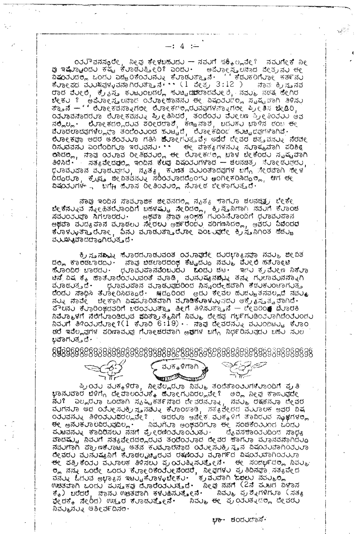್ ರಾಲ್ವಾನಸ್ಕೂರೇ, ನೀವು ಕೇಳಬಹುದು -- ನವುಗೆ ಪಕ್ಕಿಲ್ಲವೇ? ನವುಗೇಕೆ ನೀವು ಇಷ್ಟೆಂದು ಕಷ್ಟ ಕುಾಡುತ್ತೀರಿ? ಎಂದು - ಅಪೆರ್ುನ್ನ ತೀವ್ರವರ ಹೇತ್ರವು ಈ<br>ವಿಷ್ಣರುದರಿ, ಒಂದು ಎಚ್ಚರಿಕೆಂತುನ್ನು ಕುಾಡುತ್ತಾನೆ - ್ಲಿಕೆಡುಕರಿಗೆುವಾದಿ ಹತ್ತಾನು ಈ<br>ಕುಾಂಪದ ವುರುಖ್ಯಪಳ್ಳವ cod dued, ಕ) az ಕುಟುಂಬದಲ್ಲೆ ಕುಟ್ಟಿದುದರೆಂದರುed. ನವು ನಡತ ಹೇಗಿರ ಚೇಕು ? ಅವೆರಾಲ್ಲಾಲನಾದ ಯರಾಲಿಕಾನನು ಈ ವಿಷಂತರದಲ್ಲಿ ಸೃಷ್ಟವಾಗಿ ತಿಳಿಸು  $\sigma$ ತ್ತಾನೆ – '' ಯೋಕವನ್ನಾಗಲೀ ಯೋಕಗಲ್ಲಿರುವವುಗಳನ್ನಾಗಲೀ ಪ್ರೀತಿಸ ಬೇಡಿರಿ, canadado dine sanda al casado dodo dueva al escudo da<br>ನಲ್ಲಿಲ್ಲ ಲೋಕದಲ್ಲಿರುವ ಶರೀರದಾಶ, ಕಣ್ಣನಾಶ, ಬದುಕು ಬಾಳಿನ ದಂಬ ಈ<br>ಪ್ರಾದಲಾದವುಗಳಲ್ಲಿ ಪ್ರಾ ತಂದೆಂತ್ರಿಂದ ಸುಟ್ಟದೆ, ಲೈಲ್ಯಾಕ್ಟ್ರೋ ಹುಟ್ಟಿದವುಗಳಾಗಿವೆ. **ಲಿುಾ**€ಕಾಘಾ ಅದರ ಅಶಿಂತುುಾ ಗತಿಸಿ **ಜೆ**ುಾ€ಗುತ್ತವೆ, ಆದರೆ ದೇವರ ಚಿತ∍ವನು∢ ನಿರುಕ್ ರಿಸುವವನು ಎಂದೆಂದಿಗುಾ ಇರುವನು ... ಈ ವಾಕ್ಯಗಳನ್ನು ಸುಾಕ್ಮವಾಗಿ ಪರಿಶಿe ರಿಸಿದರಿ<sub>ಗ</sub>, ನಾವು ಯುವ ರೀತಿದರುಲ್ಲ ಈ ಲೋಕಗಲ್ಲಿ ಬಾಳ ಬೇಕೆಂದು ಸೃಷ್ಟವಾಗಿ ತಿಳಿಸಿದೆ•' ಸತ್ಯವೇದವುಲ್ಲಿ ಇಂದಿನ ಕೆಲವು ವಿಷಯರಗಳಾದ -- ಚಲನಚಿತ್ರ ಮೋದಲವುದರ, .<br>ಧರಾವರಿಹಾನ ವರಾಡರಿವೇರಿ, ನ್ಯತ್ಯ್ಮ ಕರಣತೆ ವರರಂತಾದವುಗಳ ಬಗ್ಗೆ ಸೇರವಾಗಿ ಸೇಳ<br>ದಿದ್ದರರಾ, ಕ್ರೈಫ್ತ ಜೀವಿತವನರು ಸರಿರಿರರಾದದ್ದೆಂದರೆ ಅಂಗೀಕರಿಸಿದ್ದಲ್ಲಿ, ಆಗ ಈ **ಏಷಂನು**ಗಳ <sub>ಇ</sub> ಬಗೆ<sub>ಗಿ</sub> ಹೆಳಾಸ ರೀತಿಂ**ನುಲ್ಲ ನೆ**ಳಾರಿದ ಬೀಕಾಗುತ್ತದೆ.

ನಾವು ಇಂದಿನ ಸಾವರಾಜಿಕ ಜೀವನದಲ್ಲಿ ನೃತ್ಯ ಕಾಗರಾ ಚಲನಚಿತ್ರ ಬೇಕೇ<br>ಬೇಕೆನಲ್ನವ ನ್ನೇಹಿತರೆರಾಂದಿಗೆ ಬಹಳಷ್ಟು ನೇರಿದಲ್ಲಿ, ಕ್ರಿಸ್ತುನಿಗಾಗಿ ನವರಿಗೆ ಕೆರಾಂಚ<br>ಸವರಂತರವೂ ಸಿಗಲಾರದರ<sub>ೆ...</sub>. ಅಥವಾ ನಾವು ಆಂಕ್ಷಣೆ ಗುಂಪಿನೆರಾಂದಿಗೆ ಧರಾವರವಾನ cooccool ministers and developed to administer, and asona ಕೆಲಾಳ್ಳುತ್ತಾರೆಲ್ಲಾ, ವಿನ್ನ ಪಲಾಡುತ್ತಾರೆಲಾ ಎಂಒುವದೇ ಕ್ರಿಸ್ತನಿಗಿಂತ ಹೆಚ್ಚು ವ**ು**ಖ್ಯುವಾದದ್ದಾಗಿರುತ್ತದೆ.

ಕ್ರಿ ಸ್ತುನನ್ನಾನು ಹೆಳಾರದಲಾಡಲವಂತ oರಲಾವುದೇ ದುರಭಾ $_8$ ಸವಾ ನವಲ್ಯ ಜೀವಿತ ದ್ಲೂ ಕಾಲೆಡಬಾರದಲ್ಲಿ ನಾವು ಬಿಡಲಾರದಂಥ ಕೆಟ್ಟದೆಲ್ಲೂ ನವೆಲ್ಮ ವೆಲ್ಲಲಿ ಹತೆಲಾಲು.<br>ಹೆಲ್ಲಾಂದಿರ ಬಾರದಲ್ಲು ಧಲಾವೆಲವಾನವೆಂಬಲದಲ್ಲಿ ಒಂದಲ್ಲಿ ಚಟ್ಟು ಇನ್ನಲ್ಲಿ ಕ್ರಮೇಲ್ ನಿಕೆಲಾ ಟಿನ್ ವಿಷ ಕ್ಕೆ ಹಾತೆಲಾರೆಂತಲುವಂತೆ ವರಾಡಿ, ವರನುಷ್ಯನದುಸ್ತಿ ತನ್ನ ಗರಲಾವರನನ್ನಾಗಿ ್ತರುವರಿದಾನ ವುರಾಡುವುದರಿಂದ ನಿಸ್ಮಂದೇಹವಾಗಿ ಕಡುಕುಂಟಾಗುತ್ತ ವುಾಡುತ್ತದೆ∙ ದೆಂದು ಸಾಧಿಸಿ ತೆರ್ುಂದಿಸಿದ್ದಾರೆ. - ೫ದ್ದರಿಂದ - ಅದು ಕೆಂವಲ ಹುಜ್ಜುತನವಲ್ಲದೆ ನವುು, ನುನ್ನ ನಾವೇ - ಚೀಕಾಗಿ ವಿಷಮರಾರಿತವಾಗಿ ವುರಾಡಿಕೆಲಾಳು<sub>ಳ</sub>ಾದು ಅಕ್ರೈ<sub>ಕಿ</sub>ನ್ಮತ್ವವಾಗಿದೆ. ಪೌಲನ∪ ಕೆ∪ಾರಿಂಥದವರಿಗೆ ಬರಂತು∪ತ್ತಾ ಹೀಗೆ ತಿಳಿಸುತ್ತಾನೆ — ್ೕಿವರಿಂ# ಥೆ∪ಾರಕಿ จะมีออยสก สื่อที่บอดตอบฉ สองอาจาร์ต์ จะที่ จะกอบ ตุลัง และสามตองออกตองบอกบ  $\frac{1}{2}$ <mark>ಡರೆ ಇವೆಲ್ಲ</mark>ವುಗಳ ಪರಿಣಾವ**ು**ವು ಗೆಲಾಲಚರವಾಗಿ ಅ**ವು**ಗಳ ಬಗ್ಗೆ ನಿರ್ಧರಿಸುವುದು ಬಹು ಸುಲ ಭಿವಾಗ∪ತ್ತವೆ.



ಪ್ರಿಂರು ವುಕ್ಕಳಿರಾ, ನೀವೆಲ್ಲರುಾ ನಿವುತ್ತ ತಂದೆತಾಂತುಗಳೆುಾಂದಿಗೆ ಪ್ರತಿ ಭಾನುವಾರ ಬೆಳಿಗ್ಗೆ ದೇವಾಲಯುಕ್ಕೆ ಹೆುಾ೯ಗುವಿರಲ್ಲವೇ ಿ ಅಲ್ಲ ನೀವು ಕಾಣುವುದೇ ನರ್ತಿ ಎಲ್ಲರರಾ ಒಂದಾಗಿ ಸೃಷ್ಟಿಕರ್ತನಾದ ದೇವರನರಾತ್ರಿ, ನವರಾ ರಕ್ಷಕನರಾ ದೇವರ<br>ವರಗನರಾ ಆದ ಯರೀಸರಕ್ಕಿಸ್ತನನರು ಕೆರಾಂಡಾಡಿ, ಸತ್ಯವೇದದ ವರ್ಧಾಲಕ ಅವರ ವಿಷ ಂತರವನ್ನು ತಿಳಿಂತರುತ್ತದಲ್ಲವೇ? ಅದರುವ ಅನೇಕ ವರ್ತಕಳಿಗೆ ತಾವಿರುವ ಸ್ಥಾರಗಳಲ್ಲ ಿನಿವರಿಗರಾ ಅಂಥವರಿಗರಾ ಈ ಸಂಚಿಕೆಂತರಿಂದ ಓಂದರ <del>ರ</del>ೕ ಅನುಕುಾಲವಿರುವುದಿಲ್ಲ . ಹುಟವನ್ನು ಕಾದಿರಿಸಲು ನನಗೆ ಪ್ರೇರಣಿಂತುಾಂತುತು. ದೈವಸ್*ಕಾಂತುವಿಂದ ಸಾಧ್ಯ* ವಾದಷ್ಟು, ನಿವರಿಗೆ ಸತ್ಯವೇದದಲ್ಲಿರುವ ತಂದಿಂತರಾದ ದೇವರ ಹಾಗರಾ ಮರಾನವನಾಗಿದರೂ ನೆನ್ನುಗಾಗಿ ಪ್ರಾಣಕೆಲಾಟ್ಟ ಅತನ ಕಂಡಲಾರನಾದ ಯೇುಸುಕ್ರಿಸ್ತನ ವಿಷಯವಾಗಿಂತುಲಾ **ೇವರು ವುನುಷ್ಯನಿಗೆ ಕೆುಾಡಲೖಟ್ಟರುವ ರಕ್ಷಿಂರು ವುಾರ್ಗ**ದ ವಿಷಯುವಾಗಿಯುುಾ <del>ರ</del>ೇ ಪತ್ರಿಕೆಂರು ವುುರಾಲಕ ತಿಳಿಸಲು ಪ್ರ**ು**ತ್ನಿಸುತ್ತೇನೆ. ಈ ಸಂದರ್ಭದಲ್ಲಿ ನಿವು<sub>ತಿ</sub> ್ಲಿ ನನ್ನ ಒಂದೇ ಒಂದು ಕೆರಾಲರಿಕೆಂತೆರೇ ನೆಂದರೆ, ನೀವುಗಳು ಪ್ರತಿದಿನವಾ ಸತ್ಯವೇದ<br>ವನ್ನು ಓದುವ ಅಭಾಕಿನ ಇಟ್ಟುಕೆಲಾಳುಬೇಕು - ಕ್ರಮವಾಗಿ ಓದಲು ನವುತ್ತಿದ್ದ<br>ಉಚಿತವಾಗಿ ಒಂದು ಹುಸ್ತುಕವು ದೆಲಾರೆಂತುರುತ್ತದೆ - ನೀವು ನನಗೆ (2ನೆ ಹುಟದ ವಿಳಾಸ  $\vec{\tau}_{t}$ )  $\vec{v}$   $\vec{\sigma}_{t}$   $\vec{\sigma}_{t}$   $\vec{\sigma}_{t}$   $\vec{\sigma}_{t}$   $\vec{\sigma}_{t}$   $\vec{\sigma}_{t}$   $\vec{\sigma}_{t}$   $\vec{\sigma}_{t}$   $\vec{\sigma}_{t}$   $\vec{\sigma}_{t}$   $\vec{\sigma}_{t}$ ನಿವುು ಪ್ರಶ್ನೆಗಳಿಗುಾ (ಸತ್ಯ ಫೇದಕ್ಕೆ ನೇರಿದ) ಉತ್ತರ ಕೆುಾಡುತ್ತೇನೆ∙ \_ ನಿವು⊾ ಈ ಪ್ರಯುತ್ನದಲ್ಲಿ ದೇವರು ನಿವರ್ುನರು ಅಶೀರ್ವದಿಸರ್.

ಭಾ∵ ದ೦ದ∪ದಾಸ'

**SPER**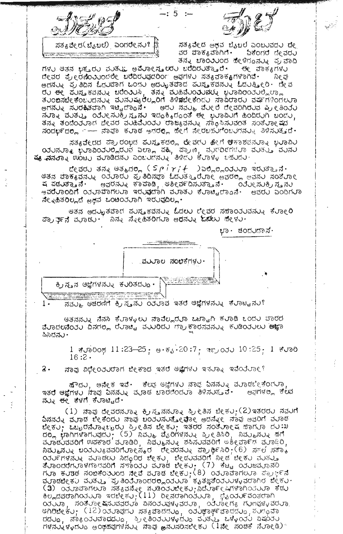$\mathbb{Z}^{2n}$  px

ಸತ್ಯವೇದ (ಬೆನಬಲೆ) ಎಂದರೇನು? ...

ಸತ್ಯವೇದ ಅಥವ ಬೈಬಲೆ ಎಂಬುವದು ದೇ ವರ ವಾಕ್ಯವಾಗಿಗೆ. ಓಕೆಂಗರ ದೇವರು ತನ್ನ ಚಾಂುುಂದ ಹೇಳಿದ್ದನ್ನು ಪ್ರವಾದಿ

ಗಳು ಆತನ ಭಕ∍ರು ವುತು∟ ಅ**ಪು**ರೀಸ∍೮ರು ಬ**ೆ**ದಿರುತ್ತಾರೆ∙ ಈ ವಾಕ್ಯಗಳು ದೇವರ ಪ್ರೇರಣಿಂು∪ಂದಲೇ ಬರೆದಿರುವುದರಿಂಗ ಅವುಗಳು ಸತ∢ವಾಕ⊕ಗಳಾಗಿವೆ. ನೀ ವ ಅದನ್ನು ಪ್ರತಿದಿನ ಓದರ್ರಾಗ ಒಂದರ ಅದರುವತ್ತಾದ ಕುಸ್ತಕವನ್ನು ಓದರತ್ತೀರಿ ಪೇವ ಅಗನ್ನು ಸುರಕ್ಷಿತವಾಗಿ ಇಟ್ಟಿದ್ದಾನೆ. ಅದು ನವುು ವೆುಲ್ ದೇವರಿಗಿರುವ ಪ್ರೀತಿಯು dinou nous cours in the most set of the world do to word, ತನ್ನು ತಂದೆಂತರಾದ ದೇವರ ವರಹಿವೆರಂತರ ರಾಜ್ಯವನ್ನು ಸಾಧಿಸಿಸರವಂತ ಸಂತೆರಾಲಕದ ಸಂದರ್ಭದಲ್ಲಿ ೧--- ನಾವೂ ಕುಾಡ ಅಗರಲ್ಲಿ ಹೇಗೆ ನೇರಬಹುಗೆಂಬುಗನ್ನು ತಿಳಿಸುತ್ತದೆ.

 $-: 5 : -$ 

ಸತ್ಯವೇರದ ಪ್ರಾರಂಭದ ಪುಸ್ತಕದಲ್ಲಿ ರೇವರು ಹೇಗೆ ಆಿಕಾಶವನುರಾನ ಭುರಾವಿು ಿ ಯರಿಸರಾತ್ರಿ ಭರಾವಿಂತರಲ್ಲಿರರಿವೆ ಎಲ್ಲಾ ಪಹ್ಗಿ ಪ್ರಾಣ, ಪರಿಗರಿಣಗಳರಾ ವರತತ್ತು ವರಿಸರಿ<br>**ಷ್ಯ ಸನತ್ನಾ** ಊಟರಿ ವರಾಡಿದನರಿ ಎಂಬರಣಿಸರು ತಿಳಿದರಿ ಕರಾಳ್ಳ ಒಪರಿದರ

 $\mathbb{C}$ cadu ತನ್ನ ಆತ್ಮದಲ್ಲಿ (Spirit )ಎಲ್ಲಿಲ್ಲಿಂರುಲಾ ಇರುತ್ತಾನೆ. ಅತನ ವಾಕ್ಯವನ್ನು ೦ತರಾರು ಪ್ರತಿದಿನವಾ ಓದುತ್ತಾರೆರಾ೯ ಅವರಲ್ಲಿ ಅವನು ಸಂತರಾ೯ ಅವರನ್ನು ಕಾಪಾಡಿ, ಅಶೀರ್ವದಿಸುತ್ತಾನೆ∙ ಂತೋು ಸುಕ್ರಿಸ್ತನು ಷ ಪಡುತ್ತಾನೆ. ಅವರೆಲಾಂದಿಗೆ ಂತರಾವಾಗಲರಾ ಇರುವುದಾಗಿ ವರಾತರ ಕೆರಾಟ್ವಿದ್ದಾನೆ. ಅವರು ಎಂದಿಗರಾ ನೇನಿಹಿತರಿಲ್ಲದೆ ಅಥವ ಒಂಟಂನುರಾಗಿ ಇರುವುದಿಲ್ಲ∙

ಆತನ ಅದರ್ಭಿತವಾದ ಪರಿಸ್ತಕವನರುು ಓದಲರ ದೇವರ ಸಹಾರಿರರವನರು. ಕೆರಾಲರಿ ಪಾ)ು≫್ನೆ ವುರಾಡು∙' ನಿನ್ನ ಸಿ∢∈ಹಿತರಿಗುರಾ ಅ**ಧ**ನು**ನ ಓಡು**ಲ ಹೇಿಳು∙

ಭಾ∙ ಚಂದ∪ದಾಸ್∙



ನವ್ಮು. ಆಚರಣಿಗೆ ಕ್ರಿಸ್ತನು ೦೨ ರಾವ ಇತರೆ ಆಜ್ಞೆಗಳನ್ನು ಕೆರಾಟ್ಟನು?  $1 -$ 

ಆತನನ್ನು ನೆನಸಿ ಕೆರಾಳ್ಕಲು ನಾವೆಲ್ಲರುಾ ಒಟ್ಟಾಗಿ ಕರಾಡಿ ಒಂದು ವಾರದ ವೆರಾದಲನೆಂರು ದಿನಗಲ್ಲಿ ರೆರಾಟ್ಟಿ ವುರಿದರು ಗ್ರಾಕಾರಸವನ್ನು ಕುಡಿಂರುಲು ಅಜ್ಞಾ ಪಿಸಿದನು -

> 1 შთბიდ 11:23—25, ფ.წ. 20:7, ფლეიკი 10:25, 1 შთბ  $16:2.$

 $\mathbf{2}$  . ನಾವು ವಿಧೀ೦ನ∪ರಾಗ ಜೀಕಾದ ಇತರೆ ಆ‱ೋಗಳು ಇನುರಾ∢ ಇವೆಂನಿಲಾ€?

ಹೌದಲ, ಅನೇಕ ಇವೆ∙ ಕಿಲಫ ಆಜ್ಞೆಗಳಲ ನಾಫ ದಿನನಲ್ನ ವುರಾಡಬೀಕಿಂಗುರಾ ಇತರೆ ಆಜ್ಞೆಗಳು ನಾವು ದಿನನ್ನು ಮಾಡ ಬಾರಣಿಂದು ತಿಳಿಸುತ್ತವೆ• - ಅಫ಼ಗಳಲ್ಲ ಕೆಲವ ನುನು ಈ ಕೆಳಗೆ ಕಿಲಾಟ್ವದೆ.

(1) ನಾವು ದೇವರನರಾನು ಕ್ರಿಸ್ತನನರಾನು ಪ್ರೀತಿಸ ಬೇಕರ;(2)ಇತರರರ ನವರಿಗೆ ವಿನನ್ನು ಮುಾಡ ಬೇಕೆಂದು ನಾವು ಬಂತುವುತೋವೋ ಅದನ್ನೇ ನಾವು ಅವರಿಗೆ ಮೂಡ ಬೇಕು); ಒಬ್ಬರನೆುುಾನುಬ್ಬರು ಪ್ರೀತಿಸ ಬೇಕು); ಇತರರ ಸಂತಿುಾಂ ಷ ಹಾಗುಾ ದು:ಖ do<sub>m</sub> trannvard, (5) have dentative areas have and the ವರಾದರವಾರಿಗೆ ಉಪಕಾರ ವರಾಡಿರಿ, ನಿವೆರ್ತಿಸರು, ಶಪಿಸರವಾರಿಗೆ ಅಶೀರ್ವಾಗ ವರಾಥಿರಿ, ನಿಮ್ಮುನ್ನು ಬಯರು್ಯವವರಿಗೆರಾ೯್ಕರ ೇರವರನ್ನು ಪ್ರಾರ್ಥಿಸಿರಿ, (6) ಸ್ಟ್ ಸತ್ಕಾ ಿ ಸಂಪ್ರಕಾರ ಕಾಲ್ಲಾರಾ ಸಂಸ್ಥೆತಿ ಸಂಪ್ರದಾಣ ಪ್ರಾಥಸ್ ಪ್ರಾರ್ಥಿ ಸಂಸ್ಥೆತಿ ಸಂಪ್ರಕ್<br>ಪ್ರಾಂದರೆಗಳಾಳಗಾಗವರಿಗೆ ಸ್ಥಾರಿರ ಚೇಕು, ಬೇಡುವವರಿಗೆ ನೀಡ ಚೇಕು ವುತ್ತು<br>ತಿಳಾಂದರೆಗಳಾಳಗಾಗವರಿಗೆ ಸ್ಥಾರು ಮಾಡ ಚೇಕು; (7) ಕೆಟ್ಟ ಂತುಜಮಾನರಿ<br>ಗುಾ ಕುಶಡ ನಂಬಿಕೆಂತುಂದ ನೇವೆ ಮಾಡ สำ อังนั่งสอกพบอี สัยขอสังค์ สมติดังนักระบุขัดสมั่งคุณสาขอกองบอ รี่สม<br>ชัยแสสซอกควบบอ จะชัดระบุ (11) ลดสซอกควบบอ สุของบุคสองชอก ಯುಲಾ, ಸಂತ್ರಸ್ಪಾಂ ಜನುವವರು ವಿನಂತುವುಳ್ಳವರು , ಯರಾಂಗ್ಯ ಗುಣವಳ್ಳವರು . enoució, (12) od navid de sandro , od por anado , durado dava, das ouvas dava, su escurrento avave reducedo adouv ทยสมัยยุสมัด ๒๐๓๙๗ทย์สมัย สอฟ ๑สมสัยสยังสะ (1ส่ง สอนชี สมอง 3)